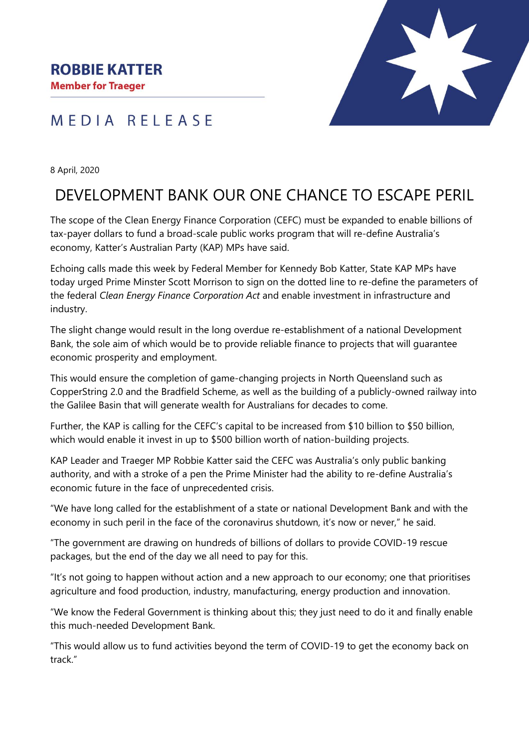## **ROBBIE KATTER**

**Member for Traeger** 

## MEDIA RELEASE



8 April, 2020

# DEVELOPMENT BANK OUR ONE CHANCE TO ESCAPE PERIL

The scope of the Clean Energy Finance Corporation (CEFC) must be expanded to enable billions of tax-payer dollars to fund a broad-scale public works program that will re-define Australia's economy, Katter's Australian Party (KAP) MPs have said.

Echoing calls made this week by Federal Member for Kennedy Bob Katter, State KAP MPs have today urged Prime Minster Scott Morrison to sign on the dotted line to re-define the parameters of the federal *Clean Energy Finance Corporation Act* and enable investment in infrastructure and industry.

The slight change would result in the long overdue re-establishment of a national Development Bank, the sole aim of which would be to provide reliable finance to projects that will guarantee economic prosperity and employment.

This would ensure the completion of game-changing projects in North Queensland such as CopperString 2.0 and the Bradfield Scheme, as well as the building of a publicly-owned railway into the Galilee Basin that will generate wealth for Australians for decades to come.

Further, the KAP is calling for the CEFC's capital to be increased from \$10 billion to \$50 billion, which would enable it invest in up to \$500 billion worth of nation-building projects.

KAP Leader and Traeger MP Robbie Katter said the CEFC was Australia's only public banking authority, and with a stroke of a pen the Prime Minister had the ability to re-define Australia's economic future in the face of unprecedented crisis.

"We have long called for the establishment of a state or national Development Bank and with the economy in such peril in the face of the coronavirus shutdown, it's now or never," he said.

"The government are drawing on hundreds of billions of dollars to provide COVID-19 rescue packages, but the end of the day we all need to pay for this.

"It's not going to happen without action and a new approach to our economy; one that prioritises agriculture and food production, industry, manufacturing, energy production and innovation.

"We know the Federal Government is thinking about this; they just need to do it and finally enable this much-needed Development Bank.

"This would allow us to fund activities beyond the term of COVID-19 to get the economy back on track."